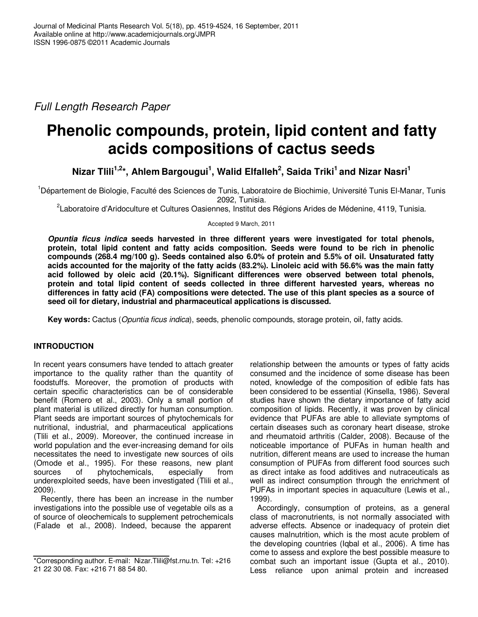Full Length Research Paper

# **Phenolic compounds, protein, lipid content and fatty acids compositions of cactus seeds**

**Nizar Tlili1,2\*, Ahlem Bargougui<sup>1</sup> , Walid Elfalleh<sup>2</sup> , Saida Triki<sup>1</sup>and Nizar Nasri<sup>1</sup>**

<sup>1</sup>Département de Biologie, Faculté des Sciences de Tunis, Laboratoire de Biochimie, Université Tunis El-Manar, Tunis 2092, Tunisia.

<sup>2</sup>Laboratoire d'Aridoculture et Cultures Oasiennes, Institut des Régions Arides de Médenine, 4119, Tunisia.

Accepted 9 March, 2011

**Opuntia ficus indica seeds harvested in three different years were investigated for total phenols, protein, total lipid content and fatty acids composition. Seeds were found to be rich in phenolic compounds (268.4 mg/100 g). Seeds contained also 6.0% of protein and 5.5% of oil. Unsaturated fatty acids accounted for the majority of the fatty acids (83.2%). Linoleic acid with 56.6% was the main fatty acid followed by oleic acid (20.1%). Significant differences were observed between total phenols, protein and total lipid content of seeds collected in three different harvested years, whereas no differences in fatty acid (FA) compositions were detected. The use of this plant species as a source of seed oil for dietary, industrial and pharmaceutical applications is discussed.** 

**Key words:** Cactus (Opuntia ficus indica), seeds, phenolic compounds, storage protein, oil, fatty acids.

# **INTRODUCTION**

In recent years consumers have tended to attach greater importance to the quality rather than the quantity of foodstuffs. Moreover, the promotion of products with certain specific characteristics can be of considerable benefit (Romero et al., 2003). Only a small portion of plant material is utilized directly for human consumption. Plant seeds are important sources of phytochemicals for nutritional, industrial, and pharmaceutical applications (Tlili et al., 2009). Moreover, the continued increase in world population and the ever-increasing demand for oils necessitates the need to investigate new sources of oils (Omode et al., 1995). For these reasons, new plant sources of phytochemicals, especially from sources of phytochemicals, especially from underexploited seeds, have been investigated (Tlili et al., 2009).

Recently, there has been an increase in the number investigations into the possible use of vegetable oils as a of source of oleochemicals to supplement petrochemicals (Falade et al., 2008). Indeed, because the apparent

relationship between the amounts or types of fatty acids consumed and the incidence of some disease has been noted, knowledge of the composition of edible fats has been considered to be essential (Kinsella, 1986). Several studies have shown the dietary importance of fatty acid composition of lipids. Recently, it was proven by clinical evidence that PUFAs are able to alleviate symptoms of certain diseases such as coronary heart disease, stroke and rheumatoid arthritis (Calder, 2008). Because of the noticeable importance of PUFAs in human health and nutrition, different means are used to increase the human consumption of PUFAs from different food sources such as direct intake as food additives and nutraceuticals as well as indirect consumption through the enrichment of PUFAs in important species in aquaculture (Lewis et al., 1999).

Accordingly, consumption of proteins, as a general class of macronutrients, is not normally associated with adverse effects. Absence or inadequacy of protein diet causes malnutrition, which is the most acute problem of the developing countries (Iqbal et al., 2006). A time has come to assess and explore the best possible measure to combat such an important issue (Gupta et al., 2010). Less reliance upon animal protein and increased

<sup>\*</sup>Corresponding author. E-mail: Nizar.Tlili@fst.rnu.tn. Tel: +216 21 22 30 08. Fax: +216 71 88 54 80.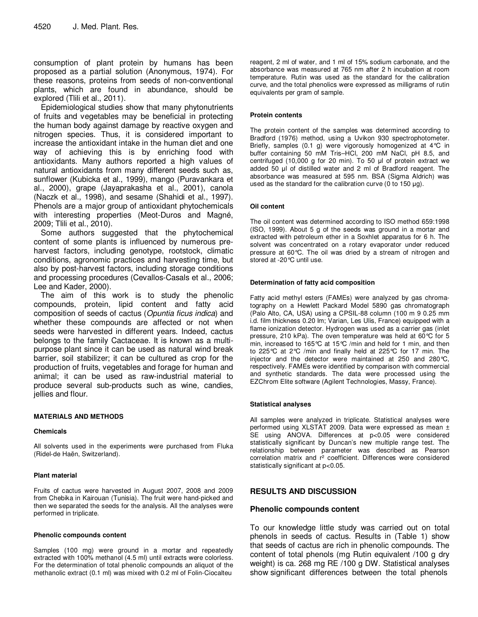consumption of plant protein by humans has been proposed as a partial solution (Anonymous, 1974). For these reasons, proteins from seeds of non-conventional plants, which are found in abundance, should be explored (Tlili et al., 2011).

Epidemiological studies show that many phytonutrients of fruits and vegetables may be beneficial in protecting the human body against damage by reactive oxygen and nitrogen species. Thus, it is considered important to increase the antioxidant intake in the human diet and one way of achieving this is by enriching food with antioxidants. Many authors reported a high values of natural antioxidants from many different seeds such as, sunflower (Kubicka et al., 1999), mango (Puravankara et al., 2000), grape (Jayaprakasha et al., 2001), canola (Naczk et al., 1998), and sesame (Shahidi et al., 1997). Phenols are a major group of antioxidant phytochemicals with interesting properties (Meot-Duros and Magné, 2009; Tlili et al., 2010).

Some authors suggested that the phytochemical content of some plants is influenced by numerous preharvest factors, including genotype, rootstock, climatic conditions, agronomic practices and harvesting time, but also by post-harvest factors, including storage conditions and processing procedures (Cevallos-Casals et al., 2006; Lee and Kader, 2000).

The aim of this work is to study the phenolic compounds, protein, lipid content and fatty acid composition of seeds of cactus (Opuntia ficus indica) and whether these compounds are affected or not when seeds were harvested in different years. Indeed, cactus belongs to the family Cactaceae. It is known as a multipurpose plant since it can be used as natural wind break barrier, soil stabilizer; it can be cultured as crop for the production of fruits, vegetables and forage for human and animal; it can be used as raw-industrial material to produce several sub-products such as wine, candies, jellies and flour.

# **MATERIALS AND METHODS**

# **Chemicals**

All solvents used in the experiments were purchased from Fluka (Ridel-de Haën, Switzerland).

# **Plant material**

Fruits of cactus were harvested in August 2007, 2008 and 2009 from Chebika in Kairouan (Tunisia). The fruit were hand-picked and then we separated the seeds for the analysis. All the analyses were performed in triplicate.

#### **Phenolic compounds content**

Samples (100 mg) were ground in a mortar and repeatedly extracted with 100% methanol (4.5 ml) until extracts were colorless. For the determination of total phenolic compounds an aliquot of the methanolic extract (0.1 ml) was mixed with 0.2 ml of Folin-Ciocalteu

reagent, 2 ml of water, and 1 ml of 15% sodium carbonate, and the absorbance was measured at 765 nm after 2 h incubation at room temperature. Rutin was used as the standard for the calibration curve, and the total phenolics were expressed as milligrams of rutin equivalents per gram of sample.

#### **Protein contents**

The protein content of the samples was determined according to Bradford (1976) method, using a Uvikon 930 spectrophotometer. Briefly, samples (0.1 g) were vigorously homogenized at 4°C in buffer containing 50 mM Tris–HCl, 200 mM NaCl, pH 8.5, and centrifuged (10,000 g for 20 min). To 50 µl of protein extract we added 50 µl of distilled water and 2 ml of Bradford reagent. The absorbance was measured at 595 nm. BSA (Sigma Aldrich) was used as the standard for the calibration curve (0 to 150 µg).

#### **Oil content**

The oil content was determined according to ISO method 659:1998 (ISO, 1999). About 5 g of the seeds was ground in a mortar and extracted with petroleum ether in a Soxhlet apparatus for 6 h. The solvent was concentrated on a rotary evaporator under reduced pressure at 60°C. The oil was dried by a stream of nitrogen and stored at -20°C until use.

#### **Determination of fatty acid composition**

Fatty acid methyl esters (FAMEs) were analyzed by gas chromatography on a Hewlett Packard Model 5890 gas chromatograph (Palo Alto, CA, USA) using a CPSIL-88 column (100 m 9 0.25 mm i.d. film thickness 0.20 lm; Varian, Les Ulis, France) equipped with a flame ionization detector. Hydrogen was used as a carrier gas (inlet pressure, 210 kPa). The oven temperature was held at 60°C for 5 min, increased to 165°C at 15°C /min and held for 1 min, and then to 225°C at 2°C /min and finally held at 225°C for 17 min. The injector and the detector were maintained at 250 and 280°C, respectively. FAMEs were identified by comparison with commercial and synthetic standards. The data were processed using the EZChrom Elite software (Agilent Technologies, Massy, France).

#### **Statistical analyses**

All samples were analyzed in triplicate. Statistical analyses were performed using XLSTAT 2009. Data were expressed as mean ± SE using ANOVA. Differences at p<0.05 were considered statistically significant by Duncan's new multiple range test. The relationship between parameter was described as Pearson correlation matrix and r² coefficient. Differences were considered statistically significant at p<0.05.

# **RESULTS AND DISCUSSION**

# **Phenolic compounds content**

To our knowledge little study was carried out on total phenols in seeds of cactus. Results in (Table 1) show that seeds of cactus are rich in phenolic compounds. The content of total phenols (mg Rutin equivalent /100 g dry weight) is ca. 268 mg RE /100 g DW. Statistical analyses show significant differences between the total phenols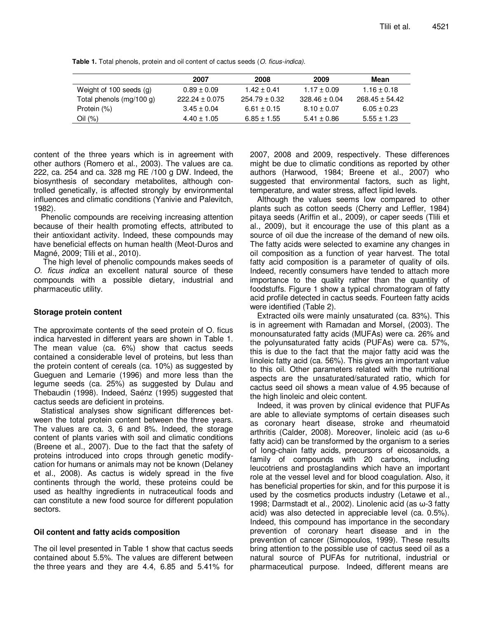**Table 1.** Total phenols, protein and oil content of cactus seeds (O. ficus-indica).

|                          | 2007               | 2008              | 2009              | Mean               |
|--------------------------|--------------------|-------------------|-------------------|--------------------|
| Weight of 100 seeds (g)  | $0.89 \pm 0.09$    | $1.42 \pm 0.41$   | $1.17 \pm 0.09$   | $1.16 \pm 0.18$    |
| Total phenols (mg/100 g) | $222.24 \pm 0.075$ | $254.79 \pm 0.32$ | $328.46 \pm 0.04$ | $268.45 \pm 54.42$ |
| Protein (%)              | $3.45 \pm 0.04$    | $6.61 \pm 0.15$   | $8.10 \pm 0.07$   | $6.05 \pm 0.23$    |
| Oil (%)                  | $4.40 \pm 1.05$    | $6.85 \pm 1.55$   | $5.41 \pm 0.86$   | $5.55 \pm 1.23$    |

content of the three years which is in agreement with other authors (Romero et al., 2003). The values are ca. 222, ca. 254 and ca. 328 mg RE /100 g DW. Indeed, the biosynthesis of secondary metabolites, although controlled genetically, is affected strongly by environmental influences and climatic conditions (Yanivie and Palevitch, 1982).

Phenolic compounds are receiving increasing attention because of their health promoting effects, attributed to their antioxidant activity. Indeed, these compounds may have beneficial effects on human health (Meot-Duros and Magné, 2009; Tlili et al., 2010).

 The high level of phenolic compounds makes seeds of O. ficus indica an excellent natural source of these compounds with a possible dietary, industrial and pharmaceutic utility.

# **Storage protein content**

The approximate contents of the seed protein of O. ficus indica harvested in different years are shown in Table 1. The mean value (ca. 6%) show that cactus seeds contained a considerable level of proteins, but less than the protein content of cereals (ca. 10%) as suggested by Gueguen and Lemarie (1996) and more less than the legume seeds (ca. 25%) as suggested by Dulau and Thebaudin (1998). Indeed, Saénz (1995) suggested that cactus seeds are deficient in proteins.

Statistical analyses show significant differences between the total protein content between the three years. The values are ca. 3, 6 and 8%. Indeed, the storage content of plants varies with soil and climatic conditions (Breene et al., 2007). Due to the fact that the safety of proteins introduced into crops through genetic modifycation for humans or animals may not be known (Delaney et al., 2008). As cactus is widely spread in the five continents through the world, these proteins could be used as healthy ingredients in nutraceutical foods and can constitute a new food source for different population sectors.

# **Oil content and fatty acids composition**

The oil level presented in Table 1 show that cactus seeds contained about 5.5%. The values are different between the three years and they are 4.4, 6.85 and 5.41% for 2007, 2008 and 2009, respectively. These differences might be due to climatic conditions as reported by other authors (Harwood, 1984; Breene et al., 2007) who suggested that environmental factors, such as light, temperature, and water stress, affect lipid levels.

Although the values seems low compared to other plants such as cotton seeds (Cherry and Leffler, 1984) pitaya seeds (Ariffin et al., 2009), or caper seeds (Tlili et al., 2009), but it encourage the use of this plant as a source of oil due the increase of the demand of new oils. The fatty acids were selected to examine any changes in oil composition as a function of year harvest. The total fatty acid composition is a parameter of quality of oils. Indeed, recently consumers have tended to attach more importance to the quality rather than the quantity of foodstuffs. Figure 1 show a typical chromatogram of fatty acid profile detected in cactus seeds. Fourteen fatty acids were identified (Table 2).

Extracted oils were mainly unsaturated (ca. 83%). This is in agreement with Ramadan and Morsel, (2003). The monounsaturated fatty acids (MUFAs) were ca. 26% and the polyunsaturated fatty acids (PUFAs) were ca. 57%, this is due to the fact that the major fatty acid was the linoleic fatty acid (ca. 56%). This gives an important value to this oil. Other parameters related with the nutritional aspects are the unsaturated/saturated ratio, which for cactus seed oil shows a mean value of 4.95 because of the high linoleic and oleic content.

Indeed, it was proven by clinical evidence that PUFAs are able to alleviate symptoms of certain diseases such as coronary heart disease, stroke and rheumatoid arthritis (Calder, 2008). Moreover, linoleic acid (as ω-6 fatty acid) can be transformed by the organism to a series of long-chain fatty acids, precursors of eicosanoids, a family of compounds with 20 carbons, including leucotriens and prostaglandins which have an important role at the vessel level and for blood coagulation. Also, it has beneficial properties for skin, and for this purpose it is used by the cosmetics products industry (Letawe et al., 1998; Darmstadt et al., 2002). Linolenic acid (as ω-3 fatty acid) was also detected in appreciable level (ca. 0.5%). Indeed, this compound has importance in the secondary prevention of coronary heart disease and in the prevention of cancer (Simopoulos, 1999). These results bring attention to the possible use of cactus seed oil as a natural source of PUFAs for nutritional, industrial or pharmaceutical purpose. Indeed, different means are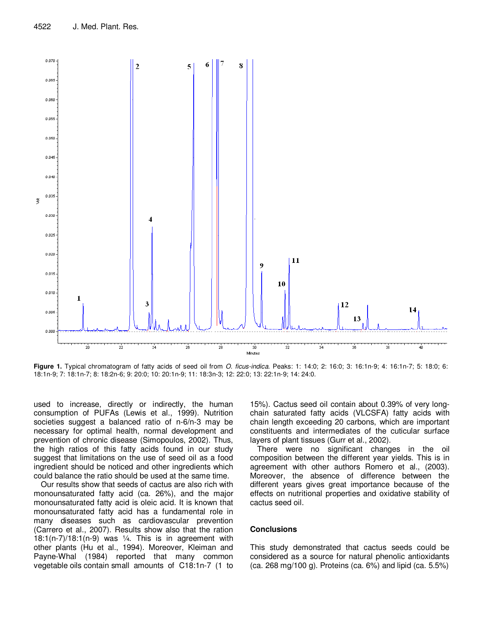

**Figure 1.** Typical chromatogram of fatty acids of seed oil from O. ficus-indica. Peaks: 1: 14:0; 2: 16:0; 3: 16:1n-9; 4: 16:1n-7; 5: 18:0; 6: 18:1n-9; 7: 18:1n-7; 8: 18:2n-6; 9: 20:0; 10: 20:1n-9; 11: 18:3n-3; 12: 22:0; 13: 22:1n-9; 14: 24:0.

used to increase, directly or indirectly, the human consumption of PUFAs (Lewis et al., 1999). Nutrition societies suggest a balanced ratio of n-6/n-3 may be necessary for optimal health, normal development and prevention of chronic disease (Simopoulos, 2002). Thus, the high ratios of this fatty acids found in our study suggest that limitations on the use of seed oil as a food ingredient should be noticed and other ingredients which could balance the ratio should be used at the same time.

Our results show that seeds of cactus are also rich with monounsaturated fatty acid (ca. 26%), and the major monounsaturated fatty acid is oleic acid. It is known that monounsaturated fatty acid has a fundamental role in many diseases such as cardiovascular prevention (Carrero et al., 2007). Results show also that the ration  $18:1(n-7)/18:1(n-9)$  was  $\frac{1}{4}$ . This is in agreement with other plants (Hu et al., 1994). Moreover, Kleiman and Payne-Whal (1984) reported that many common vegetable oils contain small amounts of C18:1n-7 (1 to

15%). Cactus seed oil contain about 0.39% of very longchain saturated fatty acids (VLCSFA) fatty acids with chain length exceeding 20 carbons, which are important constituents and intermediates of the cuticular surface layers of plant tissues (Gurr et al., 2002).

There were no significant changes in the oil composition between the different year yields. This is in agreement with other authors Romero et al., (2003). Moreover, the absence of difference between the different years gives great importance because of the effects on nutritional properties and oxidative stability of cactus seed oil.

# **Conclusions**

This study demonstrated that cactus seeds could be considered as a source for natural phenolic antioxidants (ca. 268 mg/100 g). Proteins (ca. 6%) and lipid (ca. 5.5%)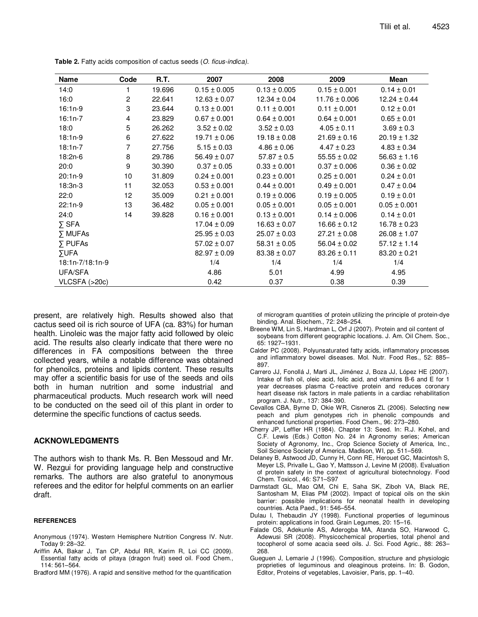| <b>Name</b>     | Code           | R.T.   | 2007             | 2008             | 2009              | Mean             |
|-----------------|----------------|--------|------------------|------------------|-------------------|------------------|
| 14:0            |                | 19.696 | $0.15 \pm 0.005$ | $0.13 \pm 0.005$ | $0.15 \pm 0.001$  | $0.14 \pm 0.01$  |
| 16:0            | $\overline{2}$ | 22.641 | $12.63 \pm 0.07$ | $12.34 \pm 0.04$ | $11.76 \pm 0.006$ | $12.24 \pm 0.44$ |
| 16:1n-9         | 3              | 23.644 | $0.13 \pm 0.001$ | $0.11 \pm 0.001$ | $0.11 \pm 0.001$  | $0.12 \pm 0.01$  |
| $16:1n-7$       | 4              | 23.829 | $0.67 \pm 0.001$ | $0.64 \pm 0.001$ | $0.64 \pm 0.001$  | $0.65 \pm 0.01$  |
| 18:0            | 5              | 26.262 | $3.52 \pm 0.02$  | $3.52 \pm 0.03$  | $4.05 \pm 0.11$   | $3.69 \pm 0.3$   |
| 18:1n-9         | 6              | 27.622 | $19.71 \pm 0.06$ | $19.18 \pm 0.08$ | $21.69 \pm 0.16$  | $20.19 \pm 1.32$ |
| $18:1n-7$       | 7              | 27.756 | $5.15 \pm 0.03$  | $4.86 \pm 0.06$  | $4.47 \pm 0.23$   | $4.83 \pm 0.34$  |
| 18:2n-6         | 8              | 29.786 | $56.49 \pm 0.07$ | $57.87 \pm 0.5$  | $55.55 \pm 0.02$  | $56.63 \pm 1.16$ |
| 20:0            | 9              | 30.390 | $0.37 \pm 0.05$  | $0.33 \pm 0.001$ | $0.37 \pm 0.006$  | $0.36 \pm 0.02$  |
| $20:1n-9$       | 10             | 31.809 | $0.24 \pm 0.001$ | $0.23 \pm 0.001$ | $0.25 \pm 0.001$  | $0.24 \pm 0.01$  |
| $18:3n-3$       | 11             | 32.053 | $0.53 \pm 0.001$ | $0.44 \pm 0.001$ | $0.49 \pm 0.001$  | $0.47 \pm 0.04$  |
| 22:0            | 12             | 35.009 | $0.21 \pm 0.001$ | $0.19 \pm 0.006$ | $0.19 \pm 0.005$  | $0.19 \pm 0.01$  |
| $22:1n-9$       | 13             | 36.482 | $0.05 \pm 0.001$ | $0.05 \pm 0.001$ | $0.05 \pm 0.001$  | $0.05 \pm 0.001$ |
| 24:0            | 14             | 39.828 | $0.16 \pm 0.001$ | $0.13 \pm 0.001$ | $0.14 \pm 0.006$  | $0.14 \pm 0.01$  |
| $\Sigma$ SFA    |                |        | $17.04 \pm 0.09$ | $16.63 \pm 0.07$ | $16.66 \pm 0.12$  | $16.78 \pm 0.23$ |
| <b>Σ MUFAs</b>  |                |        | $25.95 \pm 0.03$ | $25.07 \pm 0.03$ | $27.21 \pm 0.08$  | $26.08 \pm 1.07$ |
| $\Sigma$ PUFAs  |                |        | $57.02 \pm 0.07$ | $58.31 \pm 0.05$ | $56.04 \pm 0.02$  | $57.12 \pm 1.14$ |
| <b>SUFA</b>     |                |        | $82.97 \pm 0.09$ | $83.38 \pm 0.07$ | $83.26 \pm 0.11$  | $83.20 \pm 0.21$ |
| 18:1n-7/18:1n-9 |                |        | 1/4              | 1/4              | 1/4               | 1/4              |
| UFA/SFA         |                |        | 4.86             | 5.01             | 4.99              | 4.95             |
| VLCSFA (>20c)   |                |        | 0.42             | 0.37             | 0.38              | 0.39             |

**Table 2.** Fatty acids composition of cactus seeds (O. ficus-indica).

present, are relatively high. Results showed also that cactus seed oil is rich source of UFA (ca. 83%) for human health. Linoleic was the major fatty acid followed by oleic acid. The results also clearly indicate that there were no differences in FA compositions between the three collected years, while a notable difference was obtained for phenoilcs, proteins and lipids content. These results may offer a scientific basis for use of the seeds and oils both in human nutrition and some industrial and pharmaceutical products. Much research work will need to be conducted on the seed oil of this plant in order to determine the specific functions of cactus seeds.

# **ACKNOWLEDGMENTS**

The authors wish to thank Ms. R. Ben Messoud and Mr. W. Rezgui for providing language help and constructive remarks. The authors are also grateful to anonymous referees and the editor for helpful comments on an earlier draft.

#### **REFERENCES**

- Anonymous (1974). Western Hemisphere Nutrition Congress IV. Nutr. Today 9: 28–32.
- Ariffin AA, Bakar J, Tan CP, Abdul RR, Karim R, Loi CC (2009). Essential fatty acids of pitaya (dragon fruit) seed oil. Food Chem., 114: 561–564.
- Bradford MM (1976). A rapid and sensitive method for the quantification

of microgram quantities of protein utilizing the principle of protein-dye binding. Anal. Biochem., 72: 248–254.

- Breene WM, Lin S, Hardman L, Orf J (2007). Protein and oil content of soybeans from different geographic locations. J. Am. Oil Chem. Soc., 65: 1927–1931.
- Calder PC (2008). Polyunsaturated fatty acids, inflammatory processes and inflammatory bowel diseases. Mol. Nutr. Food Res., 52: 885– 897.
- Carrero JJ, Fonollá J, Marti JL, Jiménez J, Boza JJ, López HE (2007). Intake of fish oil, oleic acid, folic acid, and vitamins B-6 and E for 1 year decreases plasma C-reactive protein and reduces coronary heart disease risk factors in male patients in a cardiac rehabilitation program. J. Nutr., 137: 384-390.
- Cevallos CBA, Byrne D, Okie WR, Cisneros ZL (2006). Selecting new peach and plum genotypes rich in phenolic compounds and enhanced functional properties. Food Chem., 96: 273–280.
- Cherry JP, Leffler HR (1984). Chapter 13: Seed. In: R.J. Kohel, and C.F. Lewis (Eds.) Cotton No. 24 in Agronomy series; American Society of Agronomy, Inc., Crop Science Society of America, Inc., Soil Science Society of America. Madison, WI, pp. 511–569.
- Delaney B, Astwood JD, Cunny H, Conn RE, Herouet GC, Macintosh S, Meyer LS, Privalle L, Gao Y, Mattsson J, Levine M (2008). Evaluation of protein safety in the context of agricultural biotechnology. Food Chem. Toxicol., 46: S71–S97
- Darmstadt GL, Mao QM, Chi E, Saha SK, Ziboh VA, Black RE, Santosham M, Elias PM (2002). Impact of topical oils on the skin barrier: possible implications for neonatal health in developing countries. Acta Paed., 91: 546–554.
- Dulau I, Thebaudin JY (1998). Functional properties of leguminous protein: applications in food. Grain Legumes, 20: 15–16.
- Falade OS, Adekunle AS, Aderogba MA, Atanda SO, Harwood C, Adewusi SR (2008). Physicochemical properties, total phenol and tocopherol of some acacia seed oils. J. Sci. Food Agric., 88: 263– 268.
- Gueguen J, Lemarie J (1996). Composition, structure and physiologic proprieties of leguminous and oleaginous proteins. In: B. Godon, Editor, Proteins of vegetables, Lavoisier, Paris, pp. 1–40.